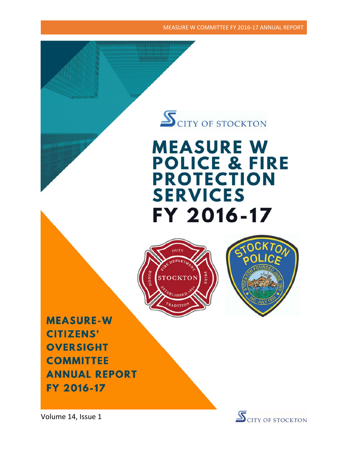MEASURE W COMMITTEE FY 2016‐17 ANNUAL REPORT

# $\mathbf{S}_{\text {CITY OF STOCKTON}}$

## **MEASURE W POLICE & FIRE PROTECTION SERVICES** FY 2016-17





**MEASURE-W CITIZENS' OVERSIGHT COMMITTEE ANNUAL REPORT** FY 2016-17



Volume 14, Issue 1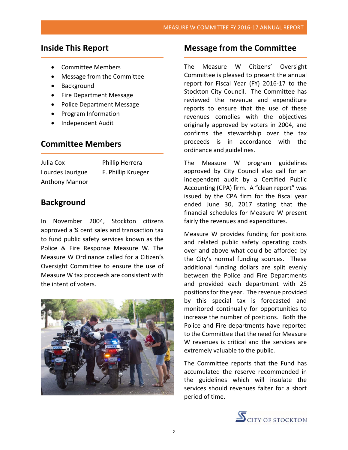### **Inside This Report**

- Committee Members
- Message from the Committee
- Background
- Fire Department Message
- Police Department Message
- Program Information
- Independent Audit

#### **Committee Members**

Julia Cox *Phillip Herrera* Lourdes Jaurigue F. Phillip Krueger Anthony Mannor

### **Background**

In November 2004, Stockton citizens approved a ¼ cent sales and transaction tax to fund public safety services known as the Police & Fire Response Measure W. The Measure W Ordinance called for a Citizen's Oversight Committee to ensure the use of Measure W tax proceeds are consistent with the intent of voters.



#### **Message from the Committee**

The Measure W Citizens' Oversight Committee is pleased to present the annual report for Fiscal Year (FY) 2016‐17 to the Stockton City Council. The Committee has reviewed the revenue and expenditure reports to ensure that the use of these revenues complies with the objectives originally approved by voters in 2004, and confirms the stewardship over the tax proceeds is in accordance with the ordinance and guidelines.

The Measure W program guidelines approved by City Council also call for an independent audit by a Certified Public Accounting (CPA) firm. A "clean report" was issued by the CPA firm for the fiscal year ended June 30, 2017 stating that the financial schedules for Measure W present fairly the revenues and expenditures.

Measure W provides funding for positions and related public safety operating costs over and above what could be afforded by the City's normal funding sources. These additional funding dollars are split evenly between the Police and Fire Departments and provided each department with 25 positions for the year. The revenue provided by this special tax is forecasted and monitored continually for opportunities to increase the number of positions. Both the Police and Fire departments have reported to the Committee that the need for Measure W revenues is critical and the services are extremely valuable to the public.

The Committee reports that the Fund has accumulated the reserve recommended in the guidelines which will insulate the services should revenues falter for a short period of time.

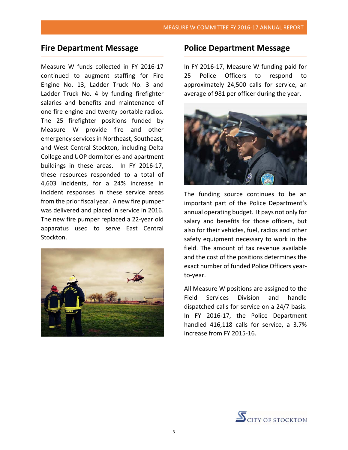### **Fire Department Message**

Measure W funds collected in FY 2016‐17 continued to augment staffing for Fire Engine No. 13, Ladder Truck No. 3 and Ladder Truck No. 4 by funding firefighter salaries and benefits and maintenance of one fire engine and twenty portable radios. The 25 firefighter positions funded by Measure W provide fire and other emergency services in Northeast, Southeast, and West Central Stockton, including Delta College and UOP dormitories and apartment buildings in these areas. In FY 2016‐17, these resources responded to a total of 4,603 incidents, for a 24% increase in incident responses in these service areas from the prior fiscal year. A new fire pumper was delivered and placed in service in 2016. The new fire pumper replaced a 22‐year old apparatus used to serve East Central Stockton.



#### **Police Department Message**

In FY 2016‐17, Measure W funding paid for 25 Police Officers to respond to approximately 24,500 calls for service, an average of 981 per officer during the year.



The funding source continues to be an important part of the Police Department's annual operating budget. It pays not only for salary and benefits for those officers, but also for their vehicles, fuel, radios and other safety equipment necessary to work in the field. The amount of tax revenue available and the cost of the positions determines the exact number of funded Police Officers year‐ to‐year.

All Measure W positions are assigned to the Field Services Division and handle dispatched calls for service on a 24/7 basis. In FY 2016‐17, the Police Department handled 416,118 calls for service, a 3.7% increase from FY 2015‐16.

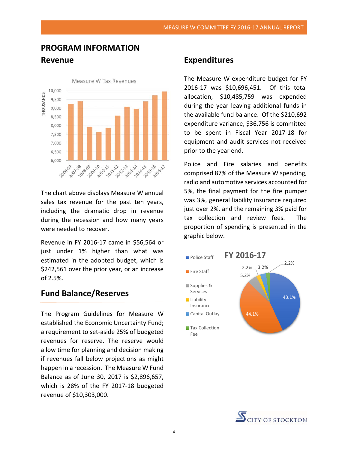## **PROGRAM INFORMATION Revenue**



The chart above displays Measure W annual sales tax revenue for the past ten years, including the dramatic drop in revenue during the recession and how many years were needed to recover.

Revenue in FY 2016‐17 came in \$56,564 or just under 1% higher than what was estimated in the adopted budget, which is \$242,561 over the prior year, or an increase of 2.5%.

### **Fund Balance/Reserves**

The Program Guidelines for Measure W established the Economic Uncertainty Fund; a requirement to set‐aside 25% of budgeted revenues for reserve. The reserve would allow time for planning and decision making if revenues fall below projections as might happen in a recession. The Measure W Fund Balance as of June 30, 2017 is \$2,896,657, which is 28% of the FY 2017-18 budgeted revenue of \$10,303,000.

#### **Expenditures**

The Measure W expenditure budget for FY 2016-17 was \$10,696,451. Of this total allocation, \$10,485,759 was expended during the year leaving additional funds in the available fund balance. Of the \$210,692 expenditure variance, \$36,756 is committed to be spent in Fiscal Year 2017‐18 for equipment and audit services not received prior to the year end.

Police and Fire salaries and benefits comprised 87% of the Measure W spending, radio and automotive services accounted for 5%, the final payment for the fire pumper was 3%, general liability insurance required just over 2%, and the remaining 3% paid for tax collection and review fees. The proportion of spending is presented in the graphic below.



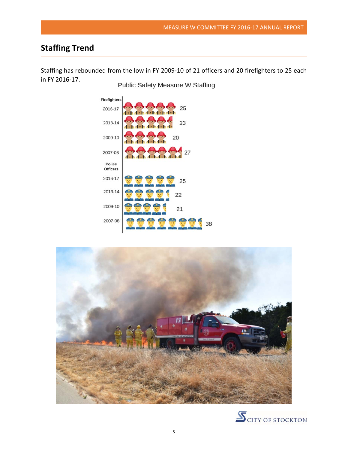## **Staffing Trend**

Staffing has rebounded from the low in FY 2009‐10 of 21 officers and 20 firefighters to 25 each in FY 2016‐17.

Public Safety Measure W Staffing